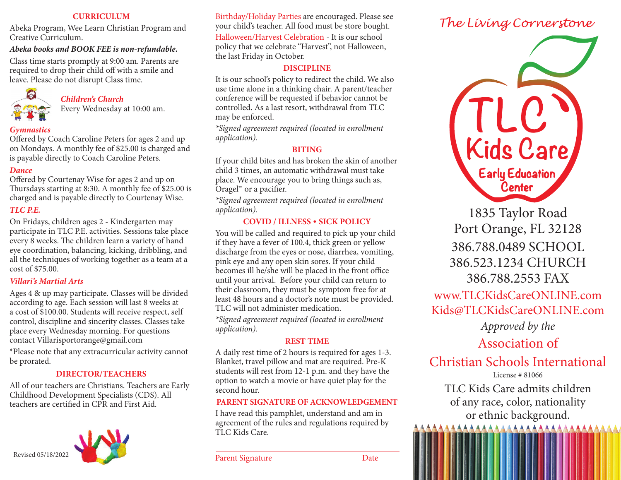### **CURRICULUM**

Abeka Program, Wee Learn Christian Program and Creative Curriculum.

### *Abeka books and BOOK FEE is non-refundable.*

Class time starts promptly at 9:00 am. Parents are required to drop their child off with a smile and leave. Please do not disrupt Class time.



# *Children's Church*

Every Wednesday at 10:00 am.

### *Gymnastics*

Offered by Coach Caroline Peters for ages 2 and up on Mondays. A monthly fee of \$25.00 is charged and is payable directly to Coach Caroline Peters.

### *Dance*

Offered by Courtenay Wise for ages 2 and up on Thursdays starting at 8:30. A monthly fee of \$25.00 is charged and is payable directly to Courtenay Wise.

### *TLC P.E.*

On Fridays, children ages 2 - Kindergarten may participate in TLC P.E. activities. Sessions take place every 8 weeks. The children learn a variety of hand eye coordination, balancing, kicking, dribbling, and all the techniques of working together as a team at a cost of \$75.00.

### *Villari's Martial Arts*

Ages 4 & up may participate. Classes will be divided according to age. Each session will last 8 weeks at a cost of \$100.00. Students will receive respect, self control, discipline and sincerity classes. Classes take place every Wednesday morning. For questions contact Villarisportorange@gmail.com

\*Please note that any extracurricular activity cannot be prorated.

### **DIRECTOR/TEACHERS**

All of our teachers are Christians. Teachers are Early Childhood Development Specialists (CDS). All teachers are certified in CPR and First Aid.



Birthday/Holiday Parties are encouraged. Please see your child's teacher. All food must be store bought. Halloween/Harvest Celebration - It is our school policy that we celebrate "Harvest", not Halloween, the last Friday in October.

### **DISCIPLINE**

It is our school's policy to redirect the child. We also use time alone in a thinking chair. A parent/teacher conference will be requested if behavior cannot be controlled. As a last resort, withdrawal from TLC may be enforced.

*\*Signed agreement required (located in enrollment application).*

## **BITING**

If your child bites and has broken the skin of another child 3 times, an automatic withdrawal must take place. We encourage you to bring things such as, Oragel™ or a pacifier.

*\*Signed agreement required (located in enrollment application).*

### **COVID / ILLNESS** • **SICK POLICY**

You will be called and required to pick up your child if they have a fever of 100.4, thick green or yellow discharge from the eyes or nose, diarrhea, vomiting, pink eye and any open skin sores. If your child becomes ill he/she will be placed in the front office until your arrival. Before your child can return to their classroom, they must be symptom free for at least 48 hours and a doctor's note must be provided. TLC will not administer medication.

*\*Signed agreement required (located in enrollment application).*

### **REST TIME**

A daily rest time of 2 hours is required for ages 1-3. Blanket, travel pillow and mat are required. Pre-K students will rest from 12-1 p.m. and they have the option to watch a movie or have quiet play for the second hour.

### **PARENT SIGNATURE OF ACKNOWLEDGEMENT**

I have read this pamphlet, understand and am in agreement of the rules and regulations required by TLC Kids Care.

# The Living Cornerstone



1835 Taylor Road Port Orange, FL 32128 386.788.0489 SCHOOL 386.523.1234 CHURCH 386.788.2553 FAX

www.TLCKidsCareONLINE.com Kids@TLCKidsCareONLINE.com

*Approved by the*

Association of

Christian Schools International License # 81066

TLC Kids Care admits children of any race, color, nationality or ethnic background.<br>AAAAAAAAAAAAAAAAAAAAAAAA